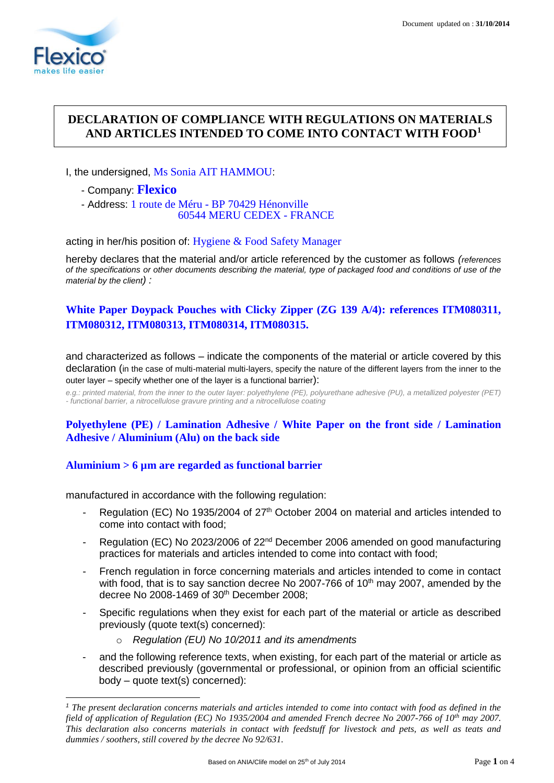1

# **DECLARATION OF COMPLIANCE WITH REGULATIONS ON MATERIALS AND ARTICLES INTENDED TO COME INTO CONTACT WITH FOOD<sup>1</sup>**

### I, the undersigned, Ms Sonia AIT HAMMOU:

- Company: **Flexico**
- Address: 1 route de Méru BP 70429 Hénonville 60544 MERU CEDEX - FRANCE

acting in her/his position of: Hygiene & Food Safety Manager

hereby declares that the material and/or article referenced by the customer as follows *(references of the specifications or other documents describing the material, type of packaged food and conditions of use of the material by the client) :*

# **White Paper Doypack Pouches with Clicky Zipper (ZG 139 A/4): references ITM080311, ITM080312, ITM080313, ITM080314, ITM080315.**

and characterized as follows – indicate the components of the material or article covered by this declaration (in the case of multi-material multi-layers, specify the nature of the different layers from the inner to the outer layer – specify whether one of the layer is a functional barrier):

*e.g.: printed material, from the inner to the outer layer: polyethylene (PE), polyurethane adhesive (PU), a metallized polyester (PET) - functional barrier, a nitrocellulose gravure printing and a nitrocellulose coating*

# **Polyethylene (PE) / Lamination Adhesive / White Paper on the front side / Lamination Adhesive / Aluminium (Alu) on the back side**

## **Aluminium > 6 µm are regarded as functional barrier**

manufactured in accordance with the following regulation:

- Regulation (EC) No 1935/2004 of 27<sup>th</sup> October 2004 on material and articles intended to come into contact with food;
- Regulation (EC) No 2023/2006 of 22<sup>nd</sup> December 2006 amended on good manufacturing practices for materials and articles intended to come into contact with food;
- French regulation in force concerning materials and articles intended to come in contact with food, that is to say sanction decree No 2007-766 of  $10<sup>th</sup>$  may 2007, amended by the decree No 2008-1469 of 30<sup>th</sup> December 2008;
- Specific regulations when they exist for each part of the material or article as described previously (quote text(s) concerned):
	- o *Regulation (EU) No 10/2011 and its amendments*
- and the following reference texts, when existing, for each part of the material or article as described previously (governmental or professional, or opinion from an official scientific body – quote text(s) concerned):

*<sup>1</sup> The present declaration concerns materials and articles intended to come into contact with food as defined in the field of application of Regulation (EC) No 1935/2004 and amended French decree No 2007-766 of 10th may 2007. This declaration also concerns materials in contact with feedstuff for livestock and pets, as well as teats and dummies / soothers, still covered by the decree No 92/631.*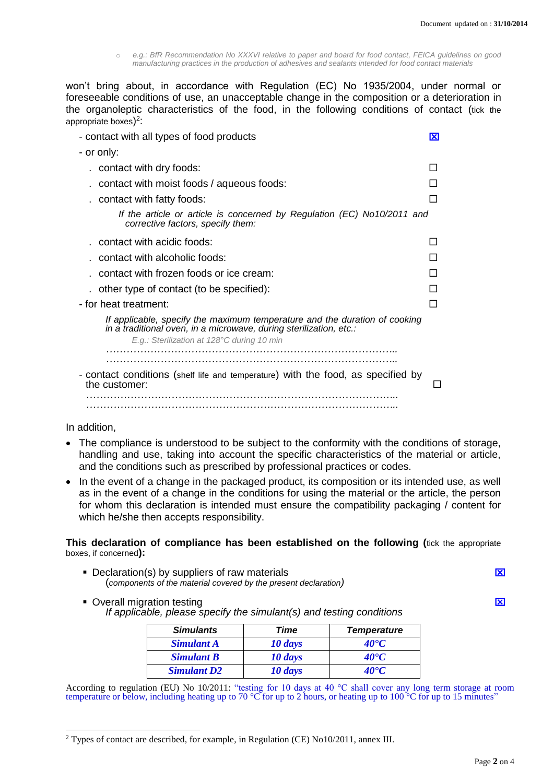o *e.g.: BfR Recommendation No XXXVI relative to paper and board for food contact, FEICA guidelines on good manufacturing practices in the production of adhesives and sealants intended for food contact materials*

won't bring about, in accordance with Regulation (EC) No 1935/2004, under normal or foreseeable conditions of use, an unacceptable change in the composition or a deterioration in the organoleptic characteristics of the food, in the following conditions of contact (tick the appropriate boxes)<sup>2</sup>:

| - contact with all types of food products                                                                                                        | ΙXΙ |  |
|--------------------------------------------------------------------------------------------------------------------------------------------------|-----|--|
| - or only:                                                                                                                                       |     |  |
| contact with dry foods:                                                                                                                          |     |  |
| contact with moist foods / aqueous foods:                                                                                                        |     |  |
| contact with fatty foods:                                                                                                                        |     |  |
| If the article or article is concerned by Regulation (EC) No10/2011 and<br>corrective factors, specify them:                                     |     |  |
| contact with acidic foods:                                                                                                                       |     |  |
| contact with alcoholic foods:                                                                                                                    |     |  |
| contact with frozen foods or ice cream:                                                                                                          |     |  |
| other type of contact (to be specified):                                                                                                         |     |  |
| - for heat treatment:                                                                                                                            |     |  |
| If applicable, specify the maximum temperature and the duration of cooking<br>in a traditional oven, in a microwave, during sterilization, etc.: |     |  |
| E.g.: Sterilization at 128°C during 10 min                                                                                                       |     |  |
|                                                                                                                                                  |     |  |
| - contact conditions (shelf life and temperature) with the food, as specified by<br>the customer:                                                |     |  |
|                                                                                                                                                  |     |  |
|                                                                                                                                                  |     |  |

In addition,

 $\overline{a}$ 

- The compliance is understood to be subject to the conformity with the conditions of storage, handling and use, taking into account the specific characteristics of the material or article, and the conditions such as prescribed by professional practices or codes.
- In the event of a change in the packaged product, its composition or its intended use, as well as in the event of a change in the conditions for using the material or the article, the person for whom this declaration is intended must ensure the compatibility packaging / content for which he/she then accepts responsibility.

#### **This declaration of compliance has been established on the following (**tick the appropriate boxes, if concerned**):**

- Declaration(s) by suppliers of raw materials **Declaration** and the state of the state of the state of the state of the state of the state of the state of the state of the state of the state of the state of the state of the (*components of the material covered by the present declaration)*
- **Overall migration testing and a set of the set of the set of the set of the set of the set of the set of the set of the set of the set of the set of the set of the set of the set of the set of the set of the set of the se** *If applicable, please specify the simulant(s) and testing conditions*

| <b>Simulants</b>   | Time    | <b>Temperature</b> |
|--------------------|---------|--------------------|
| <b>Simulant A</b>  | 10 days | $40^{\circ}C$      |
| <b>Simulant B</b>  | 10 days | $40^{\circ}C$      |
| <b>Simulant D2</b> | 10 days | <b>40°C</b>        |

According to regulation (EU) No  $10/2011$ : "testing for 10 days at 40 °C shall cover any long term storage at room temperature or below, including heating up to 70 °C for up to 2 hours, or heating up to 100 °C for up to 15 minutes"

<sup>2</sup> Types of contact are described, for example, in Regulation (CE) No10/2011, annex III.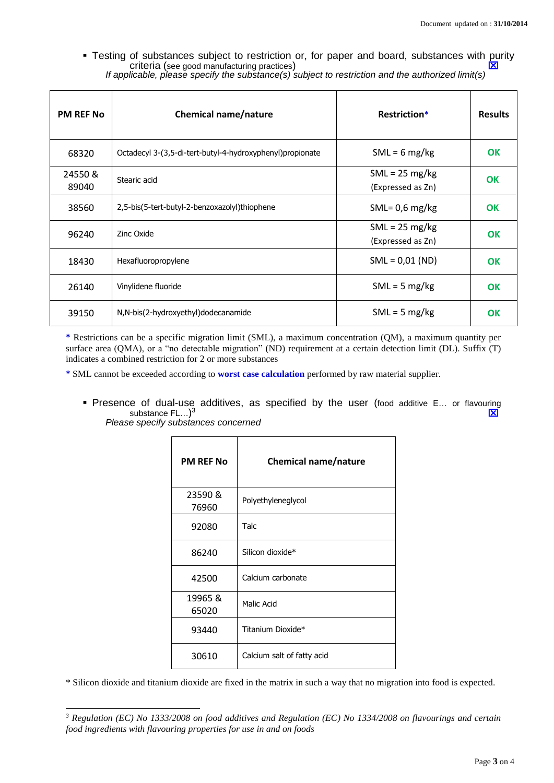**-** Testing of substances subject to restriction or, for paper and board, substances with purity criteria (see good manufacturing practices)

| <b>PM REF No</b> | <b>Chemical name/nature</b>                                | <b>Restriction*</b>                           | <b>Results</b> |
|------------------|------------------------------------------------------------|-----------------------------------------------|----------------|
| 68320            | Octadecyl 3-(3,5-di-tert-butyl-4-hydroxyphenyl) propionate | $SML = 6 mg/kg$                               | <b>OK</b>      |
| 24550&<br>89040  | Stearic acid                                               | $SML = 25 \text{ mg/kg}$<br>(Expressed as Zn) | OK             |
| 38560            | 2,5-bis(5-tert-butyl-2-benzoxazolyl)thiophene              | SML= $0,6$ mg/kg                              | OK             |
| 96240            | Zinc Oxide                                                 | $SML = 25 \text{ mg/kg}$<br>(Expressed as Zn) | <b>OK</b>      |
| 18430            | Hexafluoropropylene                                        | $SML = 0.01 (ND)$                             | <b>OK</b>      |
| 26140            | Vinylidene fluoride                                        | $SML = 5 mg/kg$                               | <b>OK</b>      |
| 39150            | N,N-bis(2-hydroxyethyl)dodecanamide                        | $SML = 5 mg/kg$                               | <b>OK</b>      |

*If applicable, please specify the substance(s) subject to restriction and the authorized limit(s)*

**\*** Restrictions can be a specific migration limit (SML), a maximum concentration (QM), a maximum quantity per surface area (QMA), or a "no detectable migration" (ND) requirement at a certain detection limit (DL). Suffix (T) indicates a combined restriction for 2 or more substances

**\*** SML cannot be exceeded according to **worst case calculation** performed by raw material supplier.

**Presence of dual-use additives, as specified by the user (food additive E... or flavouring substance FL...**)<sup>3</sup> substance  $FL...$ )<sup>3</sup>  $\overline{X}$ *Please specify substances concerned*

| <b>PM REF No</b> | <b>Chemical name/nature</b> |
|------------------|-----------------------------|
| 23590 &<br>76960 | Polyethyleneglycol          |
| 92080            | Talc                        |
| 86240            | Silicon dioxide*            |
| 42500            | Calcium carbonate           |
| 19965 &<br>65020 | Malic Acid                  |
| 93440            | Titanium Dioxide*           |
| 30610            | Calcium salt of fatty acid  |

\* Silicon dioxide and titanium dioxide are fixed in the matrix in such a way that no migration into food is expected.

-

*<sup>3</sup> Regulation (EC) No 1333/2008 on food additives and Regulation (EC) No 1334/2008 on flavourings and certain food ingredients with flavouring properties for use in and on foods*